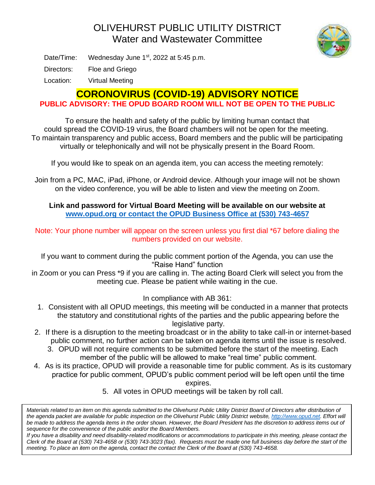## OLIVEHURST PUBLIC UTILITY DISTRICT Water and Wastewater Committee



Date/Time: Wednesday June 1<sup>st</sup>, 2022 at 5:45 p.m.

Directors: Floe and Griego

Location: Virtual Meeting

## **CORONOVIRUS (COVID-19) ADVISORY NOTICE**

**PUBLIC ADVISORY: THE OPUD BOARD ROOM WILL NOT BE OPEN TO THE PUBLIC**

To ensure the health and safety of the public by limiting human contact that could spread the COVID-19 virus, the Board chambers will not be open for the meeting. To maintain transparency and public access, Board members and the public will be participating virtually or telephonically and will not be physically present in the Board Room.

If you would like to speak on an agenda item, you can access the meeting remotely:

Join from a PC, MAC, iPad, iPhone, or Android device. Although your image will not be shown on the video conference, you will be able to listen and view the meeting on Zoom.

**Link and password for Virtual Board Meeting will be available on our website at [www.opud.org](http://www.opud.org/) or contact the OPUD Business Office at (530) 743-4657**

Note: Your phone number will appear on the screen unless you first dial \*67 before dialing the numbers provided on our website.

If you want to comment during the public comment portion of the Agenda, you can use the "Raise Hand" function

in Zoom or you can Press \*9 if you are calling in. The acting Board Clerk will select you from the meeting cue. Please be patient while waiting in the cue.

In compliance with AB 361:

- 1. Consistent with all OPUD meetings, this meeting will be conducted in a manner that protects the statutory and constitutional rights of the parties and the public appearing before the legislative party.
- 2. If there is a disruption to the meeting broadcast or in the ability to take call-in or internet-based public comment, no further action can be taken on agenda items until the issue is resolved.
	- 3. OPUD will not require comments to be submitted before the start of the meeting. Each member of the public will be allowed to make "real time" public comment.
- 4. As is its practice, OPUD will provide a reasonable time for public comment. As is its customary practice for public comment, OPUD's public comment period will be left open until the time

expires.

5. All votes in OPUD meetings will be taken by roll call.

*Materials related to an item on this agenda submitted to the Olivehurst Public Utility District Board of Directors after distribution of the agenda packet are available for public inspection on the Olivehurst Public Utility District website, [http://www.opud.net.](http://www.opud.net/) Effort will*  be made to address the agenda items in the order shown. However, the Board President has the discretion to address items out of *sequence for the convenience of the public and/or the Board Members.*

*If you have a disability and need disability-related modifications or accommodations to participate in this meeting, please contact the Clerk of the Board at (530) 743-4658 or (530) 743-3023 (fax). Requests must be made one full business day before the start of the meeting. To place an item on the agenda, contact the contact the Clerk of the Board at (530) 743-4658.*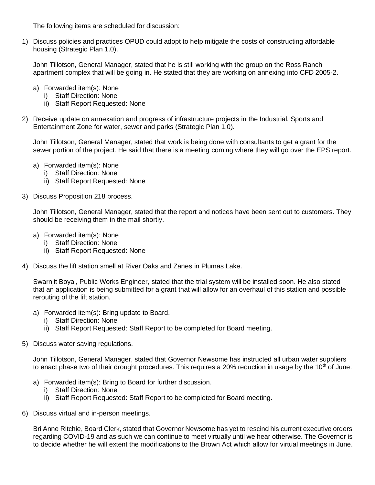The following items are scheduled for discussion:

1) Discuss policies and practices OPUD could adopt to help mitigate the costs of constructing affordable housing (Strategic Plan 1.0).

John Tillotson, General Manager, stated that he is still working with the group on the Ross Ranch apartment complex that will be going in. He stated that they are working on annexing into CFD 2005-2.

- a) Forwarded item(s): None
	- i) Staff Direction: None
	- ii) Staff Report Requested: None
- 2) Receive update on annexation and progress of infrastructure projects in the Industrial, Sports and Entertainment Zone for water, sewer and parks (Strategic Plan 1.0).

John Tillotson, General Manager, stated that work is being done with consultants to get a grant for the sewer portion of the project. He said that there is a meeting coming where they will go over the EPS report.

- a) Forwarded item(s): None
	- i) Staff Direction: None
	- ii) Staff Report Requested: None
- 3) Discuss Proposition 218 process.

John Tillotson, General Manager, stated that the report and notices have been sent out to customers. They should be receiving them in the mail shortly.

- a) Forwarded item(s): None
	- i) Staff Direction: None
	- ii) Staff Report Requested: None
- 4) Discuss the lift station smell at River Oaks and Zanes in Plumas Lake.

Swarnjit Boyal, Public Works Engineer, stated that the trial system will be installed soon. He also stated that an application is being submitted for a grant that will allow for an overhaul of this station and possible rerouting of the lift station.

- a) Forwarded item(s): Bring update to Board.
	- i) Staff Direction: None
	- ii) Staff Report Requested: Staff Report to be completed for Board meeting.
- 5) Discuss water saving regulations.

John Tillotson, General Manager, stated that Governor Newsome has instructed all urban water suppliers to enact phase two of their drought procedures. This requires a 20% reduction in usage by the  $10<sup>th</sup>$  of June.

- a) Forwarded item(s): Bring to Board for further discussion.
	- i) Staff Direction: None
	- ii) Staff Report Requested: Staff Report to be completed for Board meeting.
- 6) Discuss virtual and in-person meetings.

Bri Anne Ritchie, Board Clerk, stated that Governor Newsome has yet to rescind his current executive orders regarding COVID-19 and as such we can continue to meet virtually until we hear otherwise. The Governor is to decide whether he will extent the modifications to the Brown Act which allow for virtual meetings in June.